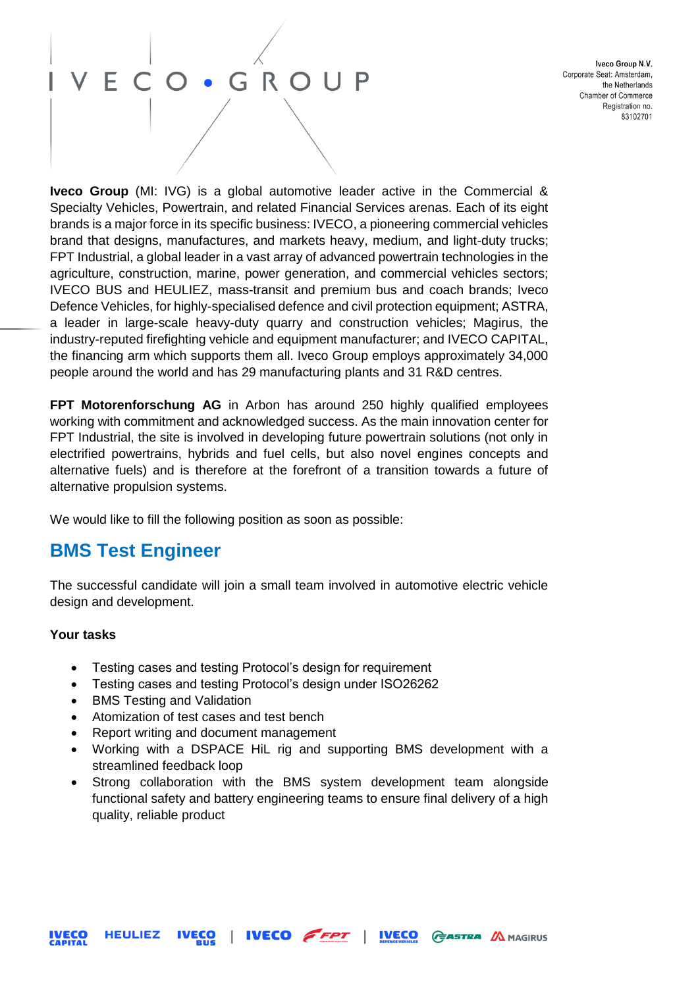## · GROUP E C

Iveco Group N.V. Corporate Seat: Amsterdam. the Netherlands Chamber of Commerce Registration no. 83102701

**Iveco Group** (MI: IVG) is a global automotive leader active in the Commercial & Specialty Vehicles, Powertrain, and related Financial Services arenas. Each of its eight brands is a major force in its specific business: IVECO, a pioneering commercial vehicles brand that designs, manufactures, and markets heavy, medium, and light-duty trucks; FPT Industrial, a global leader in a vast array of advanced powertrain technologies in the agriculture, construction, marine, power generation, and commercial vehicles sectors; IVECO BUS and HEULIEZ, mass-transit and premium bus and coach brands; Iveco Defence Vehicles, for highly-specialised defence and civil protection equipment; ASTRA, a leader in large-scale heavy-duty quarry and construction vehicles; Magirus, the industry-reputed firefighting vehicle and equipment manufacturer; and IVECO CAPITAL, the financing arm which supports them all. Iveco Group employs approximately 34,000 people around the world and has 29 manufacturing plants and 31 R&D centres.

**FPT Motorenforschung AG** in Arbon has around 250 highly qualified employees working with commitment and acknowledged success. As the main innovation center for FPT Industrial, the site is involved in developing future powertrain solutions (not only in electrified powertrains, hybrids and fuel cells, but also novel engines concepts and alternative fuels) and is therefore at the forefront of a transition towards a future of alternative propulsion systems.

We would like to fill the following position as soon as possible:

## **BMS Test Engineer**

The successful candidate will join a small team involved in automotive electric vehicle design and development.

#### **Your tasks**

- Testing cases and testing Protocol's design for requirement
- Testing cases and testing Protocol's design under ISO26262
- BMS Testing and Validation
- Atomization of test cases and test bench
- Report writing and document management
- Working with a DSPACE HiL rig and supporting BMS development with a streamlined feedback loop
- Strong collaboration with the BMS system development team alongside functional safety and battery engineering teams to ensure final delivery of a high quality, reliable product